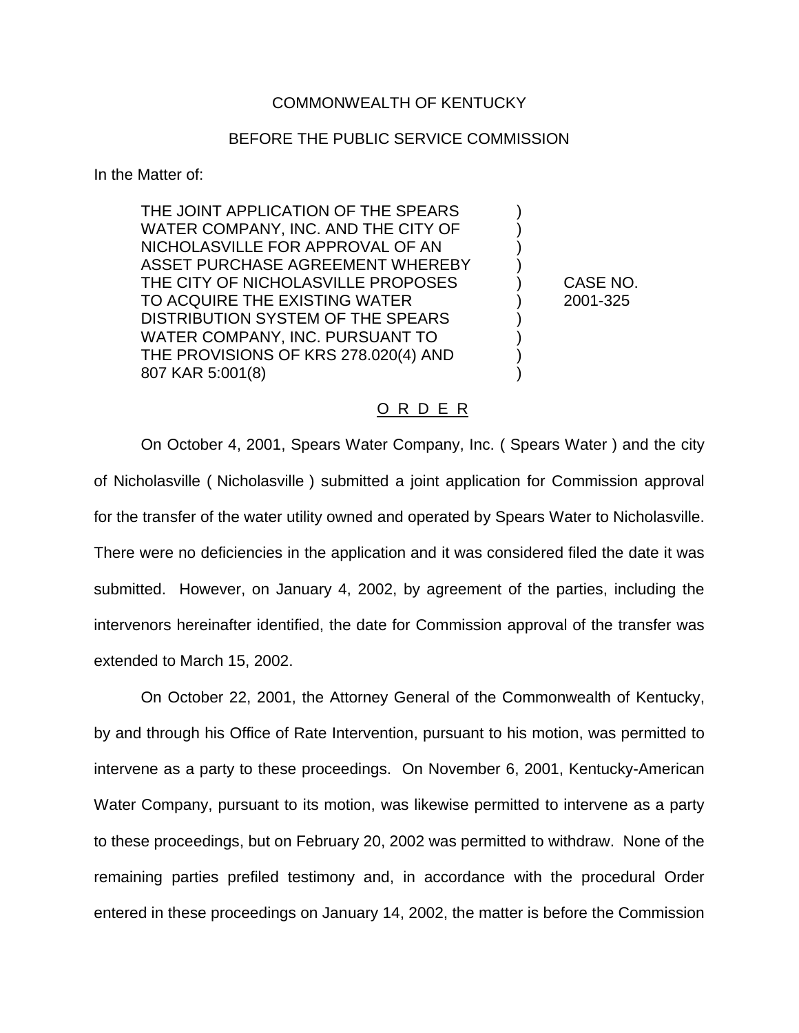## COMMONWEALTH OF KENTUCKY

# BEFORE THE PUBLIC SERVICE COMMISSION

In the Matter of:

THE JOINT APPLICATION OF THE SPEARS ) WATER COMPANY, INC. AND THE CITY OF NICHOLASVILLE FOR APPROVAL OF AN ) ASSET PURCHASE AGREEMENT WHEREBY THE CITY OF NICHOLASVILLE PROPOSES ) CASE NO. TO ACQUIRE THE EXISTING WATER ) 2001-325 DISTRIBUTION SYSTEM OF THE SPEARS WATER COMPANY, INC. PURSUANT TO ) THE PROVISIONS OF KRS 278.020(4) AND ) 807 KAR 5:001(8)

### O R D E R

On October 4, 2001, Spears Water Company, Inc. ( Spears Water ) and the city of Nicholasville ( Nicholasville ) submitted a joint application for Commission approval for the transfer of the water utility owned and operated by Spears Water to Nicholasville. There were no deficiencies in the application and it was considered filed the date it was submitted. However, on January 4, 2002, by agreement of the parties, including the intervenors hereinafter identified, the date for Commission approval of the transfer was extended to March 15, 2002.

On October 22, 2001, the Attorney General of the Commonwealth of Kentucky, by and through his Office of Rate Intervention, pursuant to his motion, was permitted to intervene as a party to these proceedings. On November 6, 2001, Kentucky-American Water Company, pursuant to its motion, was likewise permitted to intervene as a party to these proceedings, but on February 20, 2002 was permitted to withdraw. None of the remaining parties prefiled testimony and, in accordance with the procedural Order entered in these proceedings on January 14, 2002, the matter is before the Commission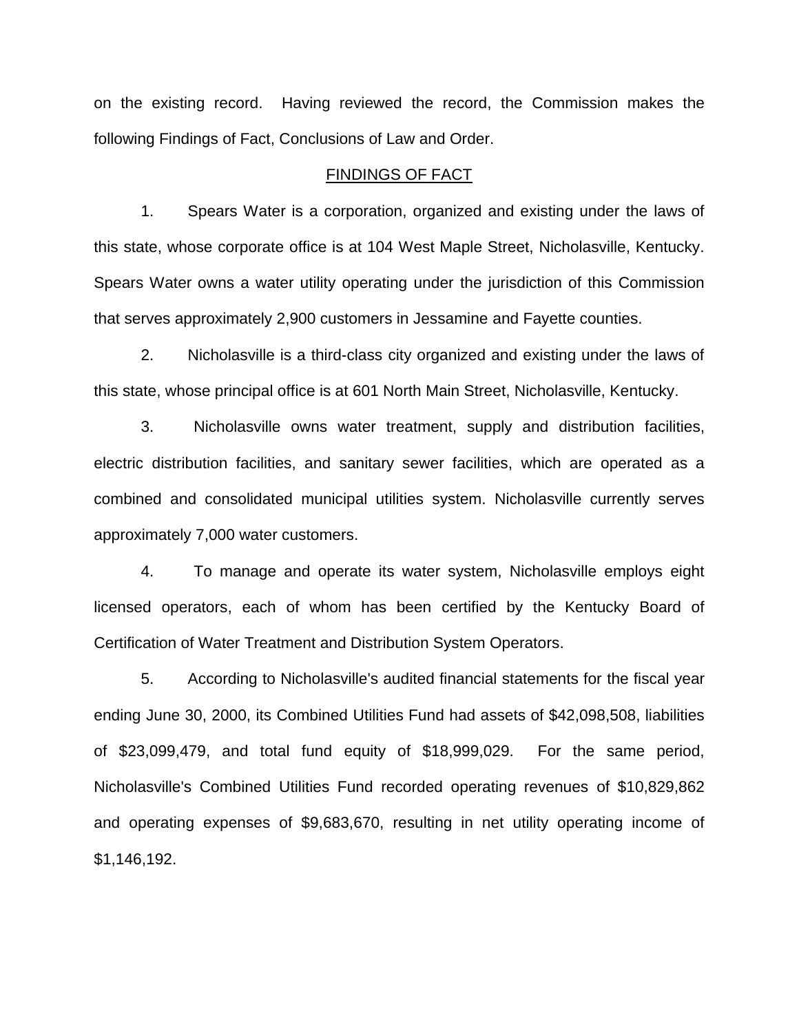on the existing record. Having reviewed the record, the Commission makes the following Findings of Fact, Conclusions of Law and Order.

### FINDINGS OF FACT

1. Spears Water is a corporation, organized and existing under the laws of this state, whose corporate office is at 104 West Maple Street, Nicholasville, Kentucky. Spears Water owns a water utility operating under the jurisdiction of this Commission that serves approximately 2,900 customers in Jessamine and Fayette counties.

2. Nicholasville is a third-class city organized and existing under the laws of this state, whose principal office is at 601 North Main Street, Nicholasville, Kentucky.

3. Nicholasville owns water treatment, supply and distribution facilities, electric distribution facilities, and sanitary sewer facilities, which are operated as a combined and consolidated municipal utilities system. Nicholasville currently serves approximately 7,000 water customers.

4. To manage and operate its water system, Nicholasville employs eight licensed operators, each of whom has been certified by the Kentucky Board of Certification of Water Treatment and Distribution System Operators.

5. According to Nicholasville's audited financial statements for the fiscal year ending June 30, 2000, its Combined Utilities Fund had assets of \$42,098,508, liabilities of \$23,099,479, and total fund equity of \$18,999,029. For the same period, Nicholasville's Combined Utilities Fund recorded operating revenues of \$10,829,862 and operating expenses of \$9,683,670, resulting in net utility operating income of \$1,146,192.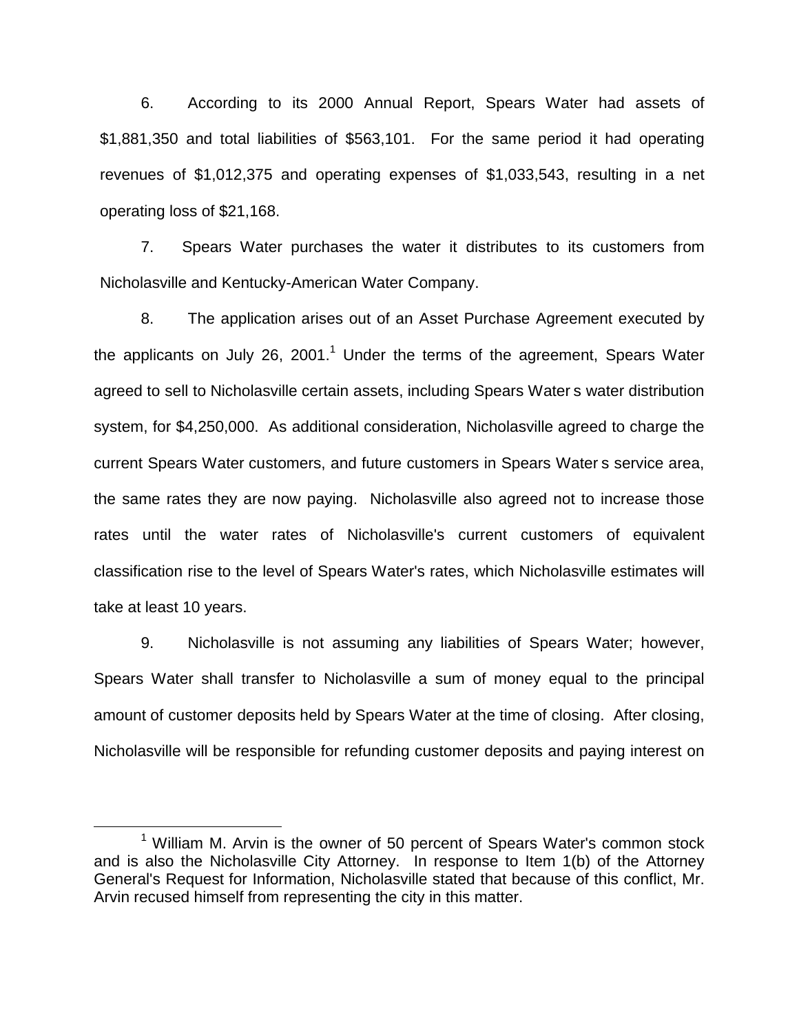6. According to its 2000 Annual Report, Spears Water had assets of \$1,881,350 and total liabilities of \$563,101. For the same period it had operating revenues of \$1,012,375 and operating expenses of \$1,033,543, resulting in a net operating loss of \$21,168.

7. Spears Water purchases the water it distributes to its customers from Nicholasville and Kentucky-American Water Company.

8. The application arises out of an Asset Purchase Agreement executed by the applicants on July 26, 2001.<sup>1</sup> Under the terms of the agreement, Spears Water agreed to sell to Nicholasville certain assets, including Spears Water s water distribution system, for \$4,250,000. As additional consideration, Nicholasville agreed to charge the current Spears Water customers, and future customers in Spears Water s service area, the same rates they are now paying. Nicholasville also agreed not to increase those rates until the water rates of Nicholasville's current customers of equivalent classification rise to the level of Spears Water's rates, which Nicholasville estimates will take at least 10 years.

9. Nicholasville is not assuming any liabilities of Spears Water; however, Spears Water shall transfer to Nicholasville a sum of money equal to the principal amount of customer deposits held by Spears Water at the time of closing. After closing, Nicholasville will be responsible for refunding customer deposits and paying interest on

 $1$  William M. Arvin is the owner of 50 percent of Spears Water's common stock and is also the Nicholasville City Attorney. In response to Item 1(b) of the Attorney General's Request for Information, Nicholasville stated that because of this conflict, Mr. Arvin recused himself from representing the city in this matter.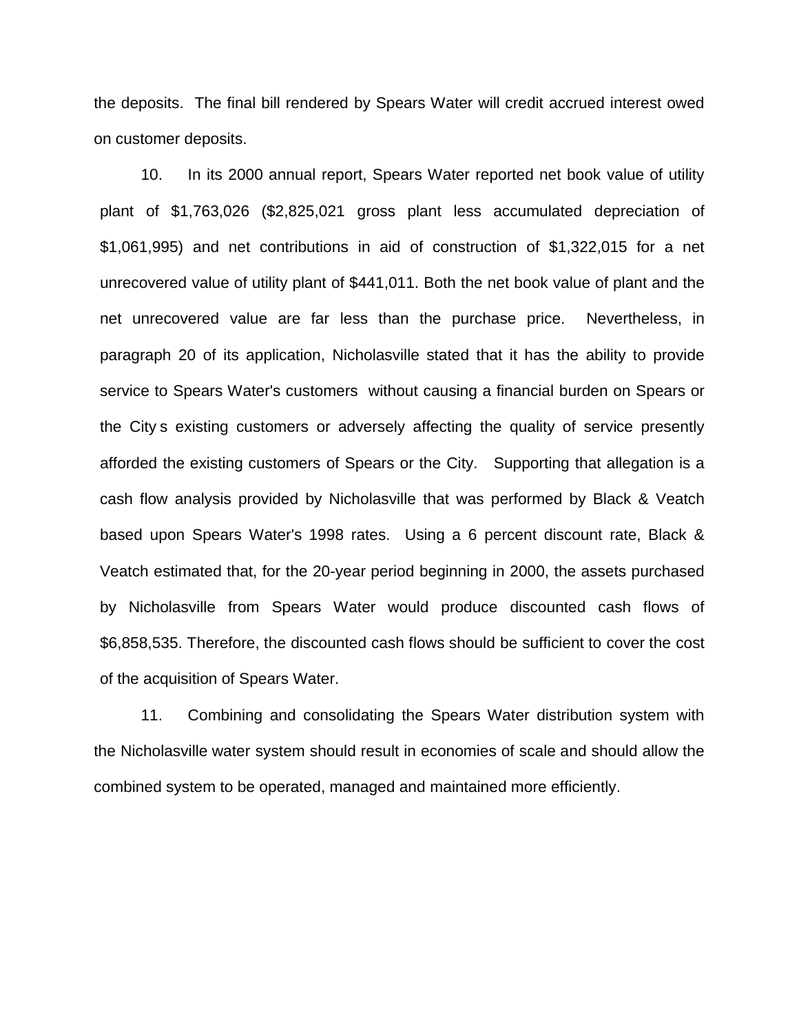the deposits. The final bill rendered by Spears Water will credit accrued interest owed on customer deposits.

10. In its 2000 annual report, Spears Water reported net book value of utility plant of \$1,763,026 (\$2,825,021 gross plant less accumulated depreciation of \$1,061,995) and net contributions in aid of construction of \$1,322,015 for a net unrecovered value of utility plant of \$441,011. Both the net book value of plant and the net unrecovered value are far less than the purchase price. Nevertheless, in paragraph 20 of its application, Nicholasville stated that it has the ability to provide service to Spears Water's customers without causing a financial burden on Spears or the City s existing customers or adversely affecting the quality of service presently afforded the existing customers of Spears or the City. Supporting that allegation is a cash flow analysis provided by Nicholasville that was performed by Black & Veatch based upon Spears Water's 1998 rates. Using a 6 percent discount rate, Black & Veatch estimated that, for the 20-year period beginning in 2000, the assets purchased by Nicholasville from Spears Water would produce discounted cash flows of \$6,858,535. Therefore, the discounted cash flows should be sufficient to cover the cost of the acquisition of Spears Water.

11. Combining and consolidating the Spears Water distribution system with the Nicholasville water system should result in economies of scale and should allow the combined system to be operated, managed and maintained more efficiently.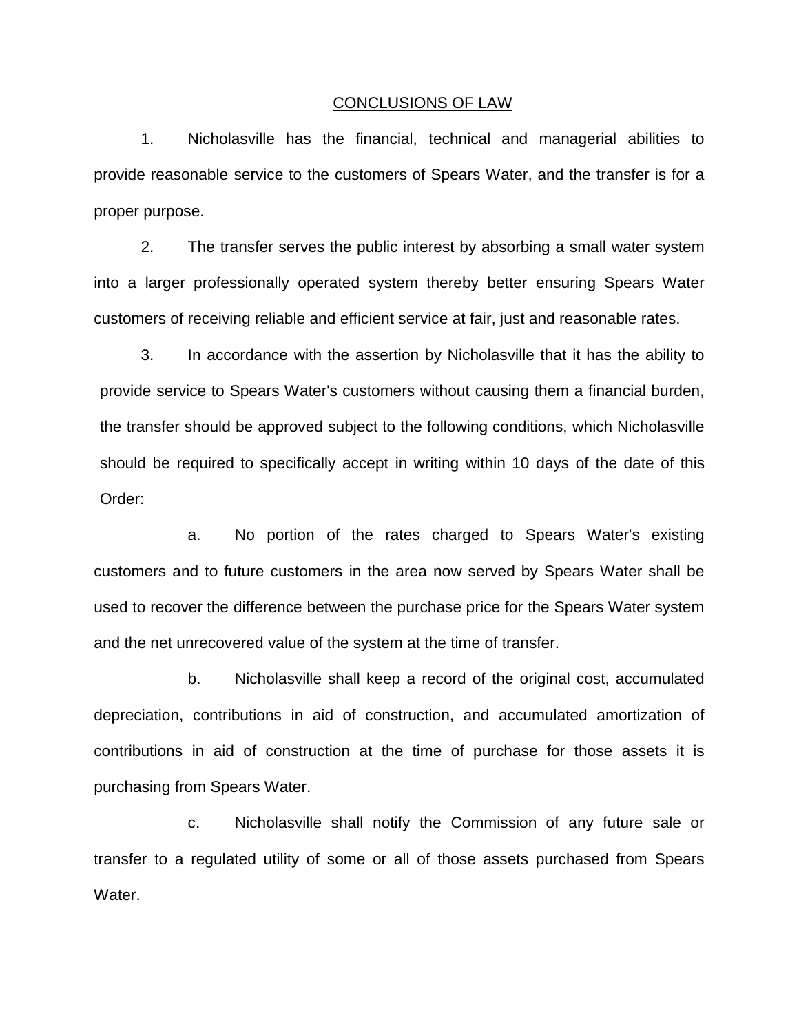#### CONCLUSIONS OF LAW

1. Nicholasville has the financial, technical and managerial abilities to provide reasonable service to the customers of Spears Water, and the transfer is for a proper purpose.

2. The transfer serves the public interest by absorbing a small water system into a larger professionally operated system thereby better ensuring Spears Water customers of receiving reliable and efficient service at fair, just and reasonable rates.

3. In accordance with the assertion by Nicholasville that it has the ability to provide service to Spears Water's customers without causing them a financial burden, the transfer should be approved subject to the following conditions, which Nicholasville should be required to specifically accept in writing within 10 days of the date of this Order:

a. No portion of the rates charged to Spears Water's existing customers and to future customers in the area now served by Spears Water shall be used to recover the difference between the purchase price for the Spears Water system and the net unrecovered value of the system at the time of transfer.

b. Nicholasville shall keep a record of the original cost, accumulated depreciation, contributions in aid of construction, and accumulated amortization of contributions in aid of construction at the time of purchase for those assets it is purchasing from Spears Water.

c. Nicholasville shall notify the Commission of any future sale or transfer to a regulated utility of some or all of those assets purchased from Spears Water.